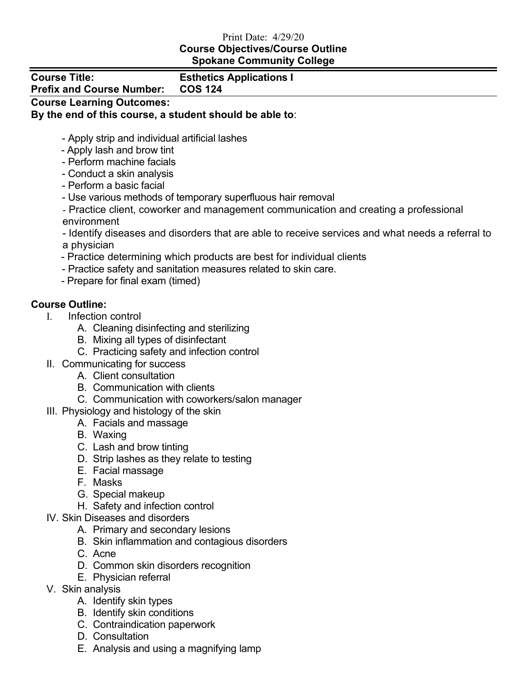## Print Date: 4/29/20 **Course Objectives/Course Outline Spokane Community College**

| <b>Course Title:</b>             |  |
|----------------------------------|--|
| <b>Prefix and Course Number:</b> |  |

## **Esthetics Applications I Prefix and Course Number: COS 124**

**Course Learning Outcomes:** 

## **By the end of this course, a student should be able to**:

- Apply strip and individual artificial lashes
- Apply lash and brow tint
- Perform machine facials
- Conduct a skin analysis
- Perform a basic facial
- Use various methods of temporary superfluous hair removal
- Practice client, coworker and management communication and creating a professional environment

- Identify diseases and disorders that are able to receive services and what needs a referral to a physician

- Practice determining which products are best for individual clients
- Practice safety and sanitation measures related to skin care.
- Prepare for final exam (timed)

## **Course Outline:**

- I. Infection control
	- A. Cleaning disinfecting and sterilizing
	- B. Mixing all types of disinfectant
	- C. Practicing safety and infection control
- II. Communicating for success
	- A. Client consultation
	- B. Communication with clients
	- C. Communication with coworkers/salon manager
- III. Physiology and histology of the skin
	- A. Facials and massage
	- B. Waxing
	- C. Lash and brow tinting
	- D. Strip lashes as they relate to testing
	- E. Facial massage
	- F. Masks
	- G. Special makeup
	- H. Safety and infection control
- IV. Skin Diseases and disorders
	- A. Primary and secondary lesions
	- B. Skin inflammation and contagious disorders
	- C. Acne
	- D. Common skin disorders recognition
	- E. Physician referral
- V. Skin analysis
	- A. Identify skin types
	- B. Identify skin conditions
	- C. Contraindication paperwork
	- D. Consultation
	- E. Analysis and using a magnifying lamp